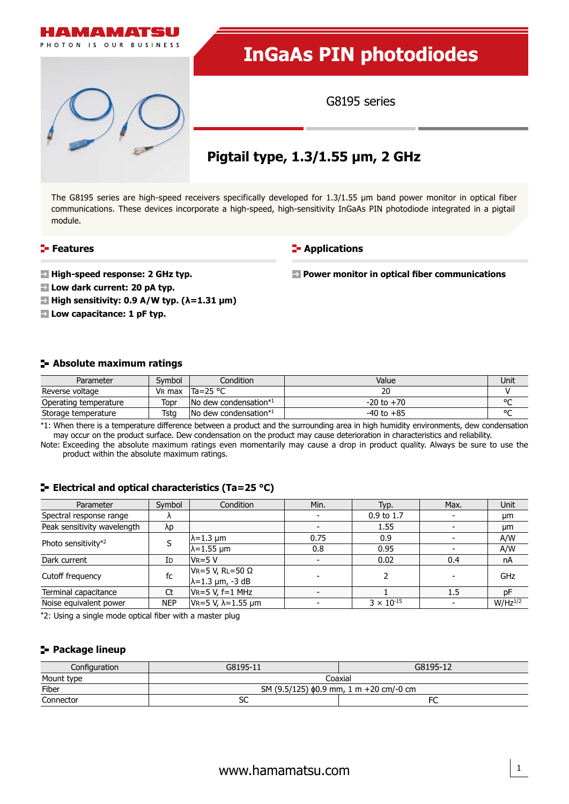

The G8195 series are high-speed receivers specifically developed for 1.3/1.55 µm band power monitor in optical fiber communications. These devices incorporate a high-speed, high-sensitivity InGaAs PIN photodiode integrated in a pigtail module.

### **Features**

**F**-Applications

**Power monitor in optical fiber communications** 

**High-speed response: 2 GHz typ.**

**Low dark current: 20 pA typ.**

**High sensitivity: 0.9 A/W typ. (λ=1.31 µm)**

**Low capacitance: 1 pF typ.**

### **Absolute maximum ratings**

| Parameter             | Svmbol             | Condition                                        | Value          | Unit   |
|-----------------------|--------------------|--------------------------------------------------|----------------|--------|
| Reverse voltage       | V <sub>R</sub> max | $Ta = 25 °C$                                     | าเ             |        |
| Operating temperature | Topr               | $\blacksquare$ No dew condensation* <sup>1</sup> | $-20$ to $+70$ | $\sim$ |
| Storage temperature   | Tsta               | $\sqrt{N}$ dew condensation <sup>*1</sup>        | $-40$ to $+85$ | $\sim$ |

\*1: When there is a temperature difference between a product and the surrounding area in high humidity environments, dew condensation may occur on the product surface. Dew condensation on the product may cause deterioration in characteristics and reliability.

Note: Exceeding the absolute maximum ratings even momentarily may cause a drop in product quality. Always be sure to use the product within the absolute maximum ratings.

### **E** Electrical and optical characteristics (Ta=25 °C)

| Parameter                   | Symbol     | Condition                                                | Min. | Typ.                | Max. | <b>Unit</b>  |
|-----------------------------|------------|----------------------------------------------------------|------|---------------------|------|--------------|
| Spectral response range     | $\Lambda$  |                                                          |      | 0.9 to 1.7          |      | μm           |
| Peak sensitivity wavelength | λp         |                                                          |      | 1.55                |      | μm           |
| Photo sensitivity*2         |            | $\lambda$ =1.3 µm                                        | 0.75 | 0.9                 |      | A/W          |
|                             |            | $\lambda$ =1.55 µm                                       | 0.8  | 0.95                |      | A/W          |
| Dark current                | Id         | $V_R = 5 V$                                              |      | 0.02                | 0.4  | nA           |
| Cutoff frequency            | fc         | $V_R = 5 V$ , RL=50 $\Omega$<br>$\lambda$ =1.3 µm, -3 dB |      |                     |      | GHz          |
| Terminal capacitance        | Ct         | $VR = 5 V, f = 1 MHz$                                    |      |                     | 1.5  | DF           |
| Noise equivalent power      | <b>NEP</b> | $VR=5 V, λ=1.55 μm$                                      |      | $3 \times 10^{-15}$ |      | $W/Hz^{1/2}$ |

\*2: Using a single mode optical fiber with a master plug

### **Package lineup**

| Configuration | G8195-11                                       | G8195-12 |  |  |  |
|---------------|------------------------------------------------|----------|--|--|--|
| Mount type    | Coaxial                                        |          |  |  |  |
| Fiber         | SM $(9.5/125)$ $\phi$ 0.9 mm, 1 m +20 cm/-0 cm |          |  |  |  |
| Connector     | эc                                             | FC       |  |  |  |